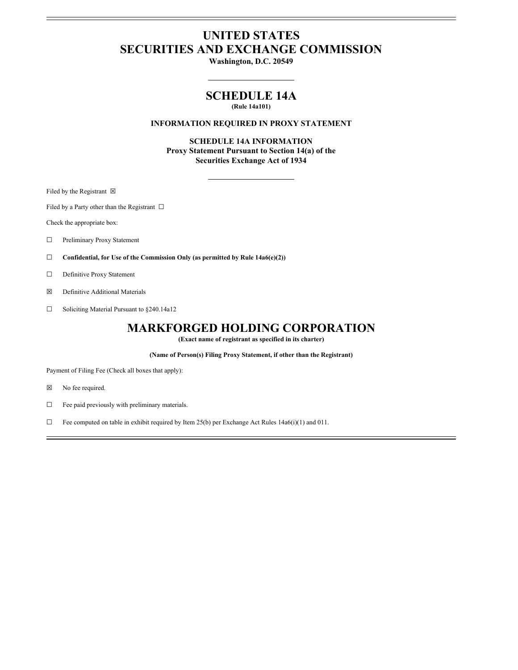# **UNITED STATES SECURITIES AND EXCHANGE COMMISSION**

**Washington, D.C. 20549**

## **SCHEDULE 14A**

### **(Rule 14a101)**

#### **INFORMATION REQUIRED IN PROXY STATEMENT**

**SCHEDULE 14A INFORMATION Proxy Statement Pursuant to Section 14(a) of the Securities Exchange Act of 1934**

Filed by the Registrant  $\boxtimes$ 

Filed by a Party other than the Registrant  $\Box$ 

Check the appropriate box:

- ☐ Preliminary Proxy Statement
- ☐ **Confidential, for Use of the Commission Only (as permitted by Rule 14a6(e)(2))**
- □ Definitive Proxy Statement
- ☒ Definitive Additional Materials
- ☐ Soliciting Material Pursuant to §240.14a12

### **MARKFORGED HOLDING CORPORATION**

**(Exact name of registrant as specified in its charter)**

**(Name of Person(s) Filing Proxy Statement, if other than the Registrant)**

Payment of Filing Fee (Check all boxes that apply):

- ☒ No fee required.
- $\Box$  Fee paid previously with preliminary materials.
- $\Box$  Fee computed on table in exhibit required by Item 25(b) per Exchange Act Rules 14a6(i)(1) and 011.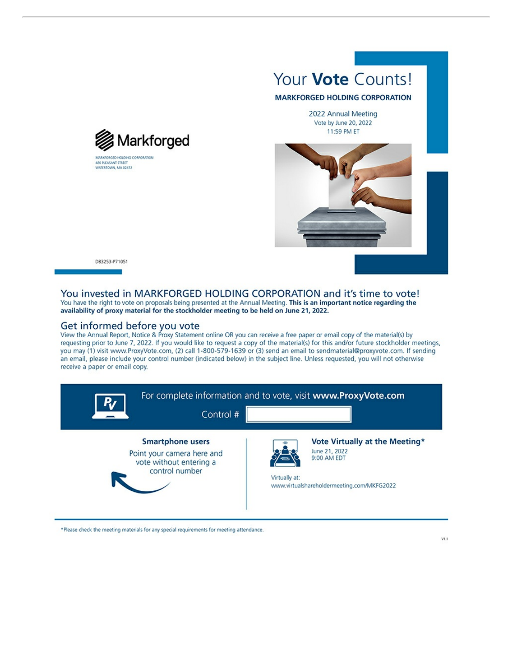



D83253-P71051

#### You invested in MARKFORGED HOLDING CORPORATION and it's time to vote! You have the right to vote on proposals being presented at the Annual Meeting. This is an important notice regarding the availability of proxy material for the stockholder meeting to be held on June 21, 2022.

### Get informed before you vote

View the Annual Report, Notice & Proxy Statement online OR you can receive a free paper or email copy of the material(s) by requesting prior to June 7, 2022. If you would like to request a copy of the material(s) for this and/or future stockholder meetings, you may (1) visit www.ProxyVote.com, (2) call 1-800-579-1639 or (3) send an email to sendmaterial@proxyvote.com. If sending an email, please include your control number (indicated below) in the subject line. Unless requested, you will not otherwise receive a paper or email copy.



\*Please check the meeting materials for any special requirements for meeting attendance.